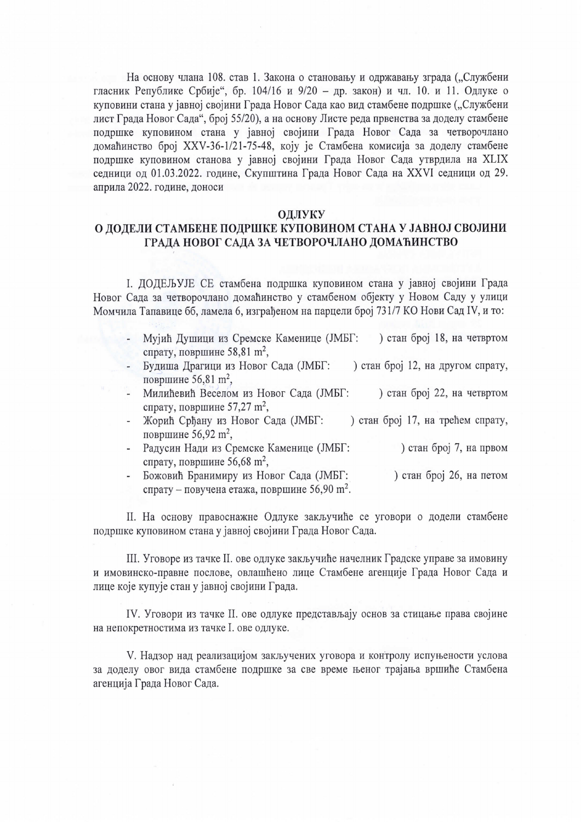На основу члана 108. став 1. Закона о становању и одржавању зграда ("Службени гласник Републике Србије", бр. 104/16 и 9/20 - др. закон) и чл. 10. и 11. Одлуке о куповини стана у јавној својини Града Новог Сада као вид стамбене подршке ("Службени лист Града Новог Сада", број 55/20), а на основу Листе реда првенства за доделу стамбене подршке куповином стана у јавној својини Града Новог Сада за четворочлано домаћинство број XXV-36-1/21-75-48, коју је Стамбена комисија за доделу стамбене подршке куповином станова у јавној својини Града Новог Сада утврдила на XLIX седници од 01.03.2022. године, Скупштина Града Новог Сада на XXVI седници од 29. априла 2022. године, доноси

## ОДЛУКУ

## О ДОДЕЛИ СТАМБЕНЕ ПОДРШКЕ КУПОВИНОМ СТАНА У ЈАВНОЈ СВОЈИНИ ГРАДА НОВОГ САДА ЗА ЧЕТВОРОЧЛАНО ДОМАЋИНСТВО

І. ДОДЕЉУЈЕ СЕ стамбена подршка куповином стана у јавној својини Града Новог Сада за четворочлано домаћинство у стамбеном објекту у Новом Саду у улици Момчила Тапавице бб, ламела 6, изграђеном на парцели број 731/7 КО Нови Сад IV, и то:

- Мујић Душици из Сремске Каменице (ЈМБГ: ) стан број 18, на четвртом спрату, површине 58,81 m<sup>2</sup>,
- Будиша Драгици из Новог Сада (ЈМБГ: ) стан број 12, на другом спрату, површине 56,81 m<sup>2</sup>,
- Милићевић Веселом из Новог Сада (ЈМБГ: ) стан број 22, на четвртом спрату, површине 57,27 m<sup>2</sup>,
- Жорић Срђану из Новог Сада (ЈМБГ: ) стан број 17, на трећем спрату, површине 56,92 m<sup>2</sup>,
- Радусин Нади из Сремске Каменице (ЈМБГ: ) стан број 7, на првом спрату, површине 56,68 m<sup>2</sup>,
- Божовић Бранимиру из Новог Сада (ЈМБГ: ) стан број 26, на петом спрату – повучена етажа, површине 56,90 m<sup>2</sup>.

II. На основу правоснажне Одлуке закључиће се уговори о додели стамбене подршке куповином стана у јавној својини Града Новог Сада.

III. Уговоре из тачке II. ове одлуке закључиће начелник Градске управе за имовину и имовинско-правне послове, овлашћено лице Стамбене агенције Града Новог Сада и лице које купује стан у јавној својини Града.

IV. Уговори из тачке II. ове одлуке представљају основ за стицање права својине на непокретностима из тачке I. ове одлуке.

V. Надзор над реализацијом закључених уговора и контролу испуњености услова за доделу овог вида стамбене подршке за све време њеног трајања вршиће Стамбена агенција Града Новог Сада.